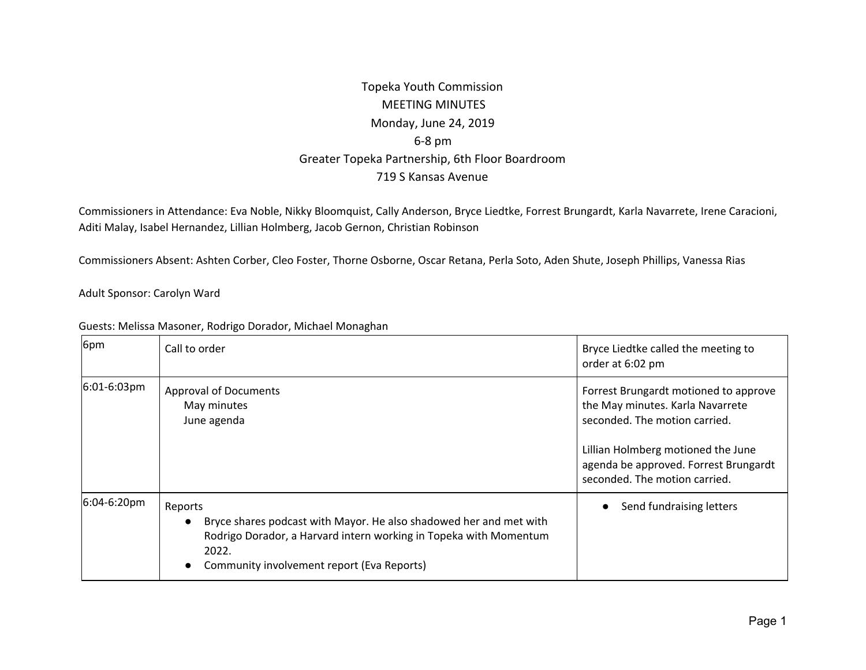## Topeka Youth Commission MEETING MINUTES Monday, June 24, 2019 6-8 pm Greater Topeka Partnership, 6th Floor Boardroom 719 S Kansas Avenue

Commissioners in Attendance: Eva Noble, Nikky Bloomquist, Cally Anderson, Bryce Liedtke, Forrest Brungardt, Karla Navarrete, Irene Caracioni, Aditi Malay, Isabel Hernandez, Lillian Holmberg, Jacob Gernon, Christian Robinson

Commissioners Absent: Ashten Corber, Cleo Foster, Thorne Osborne, Oscar Retana, Perla Soto, Aden Shute, Joseph Phillips, Vanessa Rias

Adult Sponsor: Carolyn Ward

| 6pm         | Call to order                                                                                                                                                                                                                       | Bryce Liedtke called the meeting to<br>order at 6:02 pm                                                                                                                                                                    |
|-------------|-------------------------------------------------------------------------------------------------------------------------------------------------------------------------------------------------------------------------------------|----------------------------------------------------------------------------------------------------------------------------------------------------------------------------------------------------------------------------|
| 6:01-6:03pm | <b>Approval of Documents</b><br>May minutes<br>June agenda                                                                                                                                                                          | Forrest Brungardt motioned to approve<br>the May minutes. Karla Navarrete<br>seconded. The motion carried.<br>Lillian Holmberg motioned the June<br>agenda be approved. Forrest Brungardt<br>seconded. The motion carried. |
| 6:04-6:20pm | Reports<br>Bryce shares podcast with Mayor. He also shadowed her and met with<br>$\bullet$<br>Rodrigo Dorador, a Harvard intern working in Topeka with Momentum<br>2022.<br>Community involvement report (Eva Reports)<br>$\bullet$ | Send fundraising letters<br>$\bullet$                                                                                                                                                                                      |

Guests: Melissa Masoner, Rodrigo Dorador, Michael Monaghan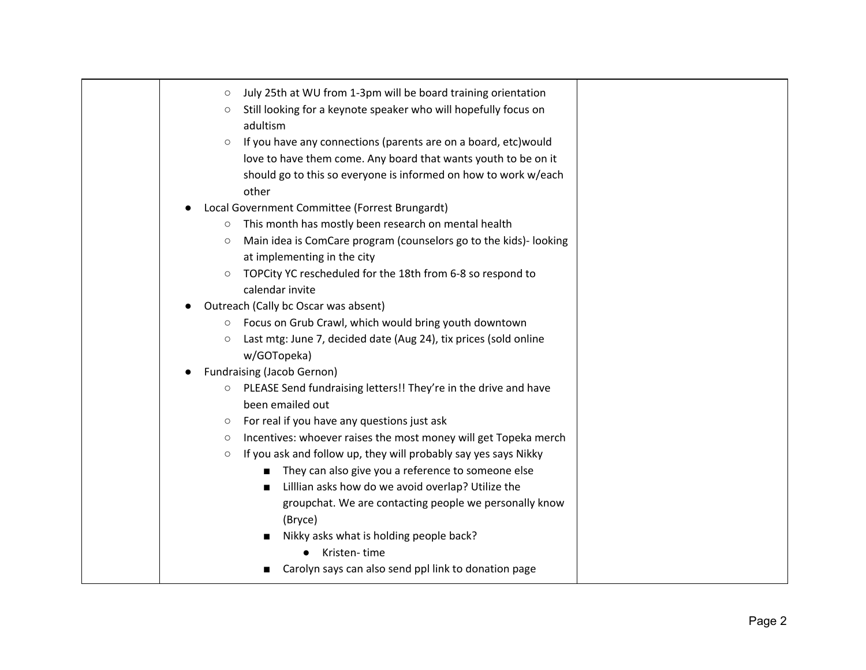| July 25th at WU from 1-3pm will be board training orientation<br>$\circ$     |  |
|------------------------------------------------------------------------------|--|
| Still looking for a keynote speaker who will hopefully focus on<br>$\circ$   |  |
| adultism                                                                     |  |
| If you have any connections (parents are on a board, etc) would<br>$\circ$   |  |
| love to have them come. Any board that wants youth to be on it               |  |
| should go to this so everyone is informed on how to work w/each              |  |
| other                                                                        |  |
| Local Government Committee (Forrest Brungardt)                               |  |
| This month has mostly been research on mental health<br>$\circ$              |  |
| Main idea is ComCare program (counselors go to the kids)- looking<br>$\circ$ |  |
| at implementing in the city                                                  |  |
| TOPCity YC rescheduled for the 18th from 6-8 so respond to<br>$\circ$        |  |
| calendar invite                                                              |  |
| Outreach (Cally bc Oscar was absent)                                         |  |
| Focus on Grub Crawl, which would bring youth downtown<br>$\circ$             |  |
| Last mtg: June 7, decided date (Aug 24), tix prices (sold online<br>$\circ$  |  |
| w/GOTopeka)                                                                  |  |
| <b>Fundraising (Jacob Gernon)</b>                                            |  |
| PLEASE Send fundraising letters!! They're in the drive and have<br>$\circ$   |  |
| been emailed out                                                             |  |
| For real if you have any questions just ask<br>$\circ$                       |  |
| Incentives: whoever raises the most money will get Topeka merch<br>$\circ$   |  |
| If you ask and follow up, they will probably say yes says Nikky<br>$\circ$   |  |
| They can also give you a reference to someone else<br>п                      |  |
| Lillian asks how do we avoid overlap? Utilize the<br>٠                       |  |
| groupchat. We are contacting people we personally know                       |  |
| (Bryce)                                                                      |  |
| Nikky asks what is holding people back?                                      |  |
| Kristen-time                                                                 |  |
| Carolyn says can also send ppl link to donation page                         |  |
|                                                                              |  |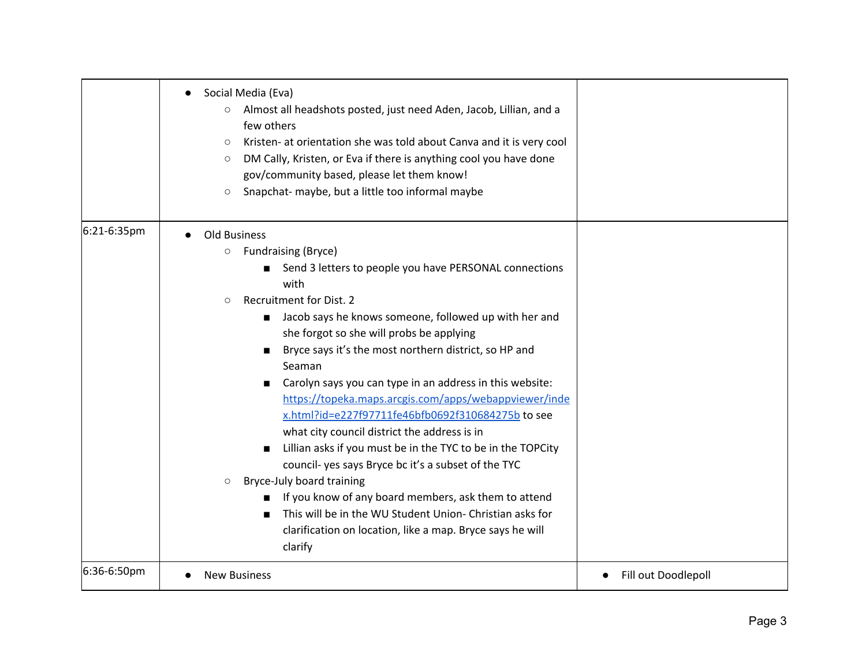|             | Social Media (Eva)<br>$\bullet$<br>Almost all headshots posted, just need Aden, Jacob, Lillian, and a<br>few others<br>Kristen- at orientation she was told about Canva and it is very cool<br>$\circlearrowright$<br>DM Cally, Kristen, or Eva if there is anything cool you have done<br>$\circlearrowright$<br>gov/community based, please let them know!<br>Snapchat- maybe, but a little too informal maybe<br>$\circ$                                                                                                                                                                                                                                                                                                                                                                                                                                                                                                              |                     |
|-------------|------------------------------------------------------------------------------------------------------------------------------------------------------------------------------------------------------------------------------------------------------------------------------------------------------------------------------------------------------------------------------------------------------------------------------------------------------------------------------------------------------------------------------------------------------------------------------------------------------------------------------------------------------------------------------------------------------------------------------------------------------------------------------------------------------------------------------------------------------------------------------------------------------------------------------------------|---------------------|
| 6:21-6:35pm | Old Business<br><b>Fundraising (Bryce)</b><br>$\circ$<br>Send 3 letters to people you have PERSONAL connections<br>with<br>Recruitment for Dist. 2<br>$\circ$<br>Jacob says he knows someone, followed up with her and<br>she forgot so she will probs be applying<br>Bryce says it's the most northern district, so HP and<br>п<br>Seaman<br>Carolyn says you can type in an address in this website:<br>п<br>https://topeka.maps.arcgis.com/apps/webappviewer/inde<br>x.html?id=e227f97711fe46bfb0692f310684275b to see<br>what city council district the address is in<br>Lillian asks if you must be in the TYC to be in the TOPCity<br>council- yes says Bryce bc it's a subset of the TYC<br>Bryce-July board training<br>$\circ$<br>If you know of any board members, ask them to attend<br>This will be in the WU Student Union- Christian asks for<br>п<br>clarification on location, like a map. Bryce says he will<br>clarify |                     |
| 6:36-6:50pm | <b>New Business</b>                                                                                                                                                                                                                                                                                                                                                                                                                                                                                                                                                                                                                                                                                                                                                                                                                                                                                                                      | Fill out Doodlepoll |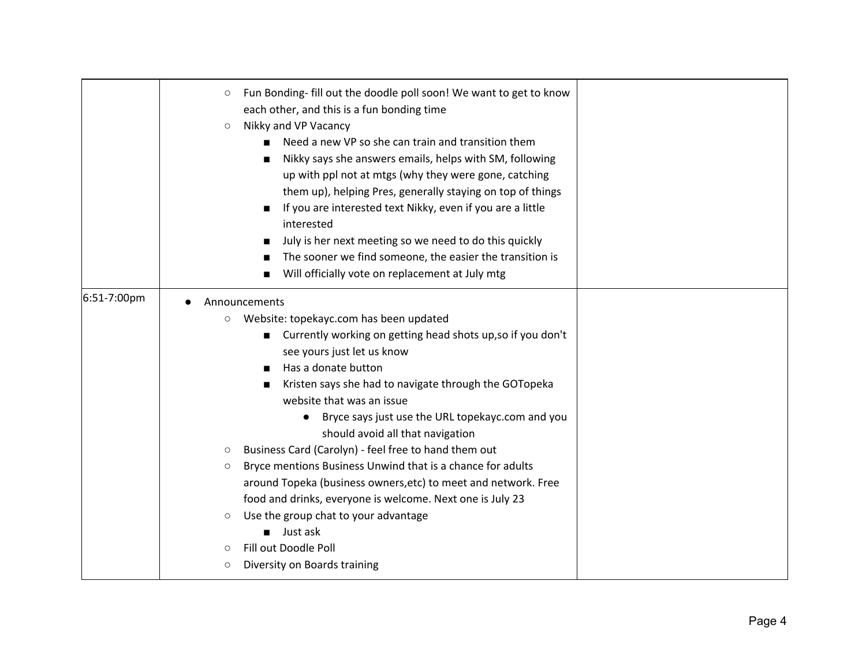|             | Fun Bonding- fill out the doodle poll soon! We want to get to know<br>$\circ$<br>each other, and this is a fun bonding time<br>Nikky and VP Vacancy<br>$\circ$<br>Need a new VP so she can train and transition them<br>$\blacksquare$<br>Nikky says she answers emails, helps with SM, following<br>п<br>up with ppl not at mtgs (why they were gone, catching<br>them up), helping Pres, generally staying on top of things<br>If you are interested text Nikky, even if you are a little<br>interested<br>July is her next meeting so we need to do this quickly<br>The sooner we find someone, the easier the transition is<br>■<br>Will officially vote on replacement at July mtg                                                                                                                                               |  |
|-------------|---------------------------------------------------------------------------------------------------------------------------------------------------------------------------------------------------------------------------------------------------------------------------------------------------------------------------------------------------------------------------------------------------------------------------------------------------------------------------------------------------------------------------------------------------------------------------------------------------------------------------------------------------------------------------------------------------------------------------------------------------------------------------------------------------------------------------------------|--|
| 6:51-7:00pm | Announcements<br>Website: topekayc.com has been updated<br>$\circ$<br>Currently working on getting head shots up, so if you don't<br>$\blacksquare$<br>see yours just let us know<br>Has a donate button<br>Kristen says she had to navigate through the GOTopeka<br>п<br>website that was an issue<br>Bryce says just use the URL topekayc.com and you<br>should avoid all that navigation<br>Business Card (Carolyn) - feel free to hand them out<br>$\circ$<br>Bryce mentions Business Unwind that is a chance for adults<br>$\circ$<br>around Topeka (business owners, etc) to meet and network. Free<br>food and drinks, everyone is welcome. Next one is July 23<br>Use the group chat to your advantage<br>$\circ$<br>Just ask<br>$\blacksquare$<br>Fill out Doodle Poll<br>$\circ$<br>Diversity on Boards training<br>$\circ$ |  |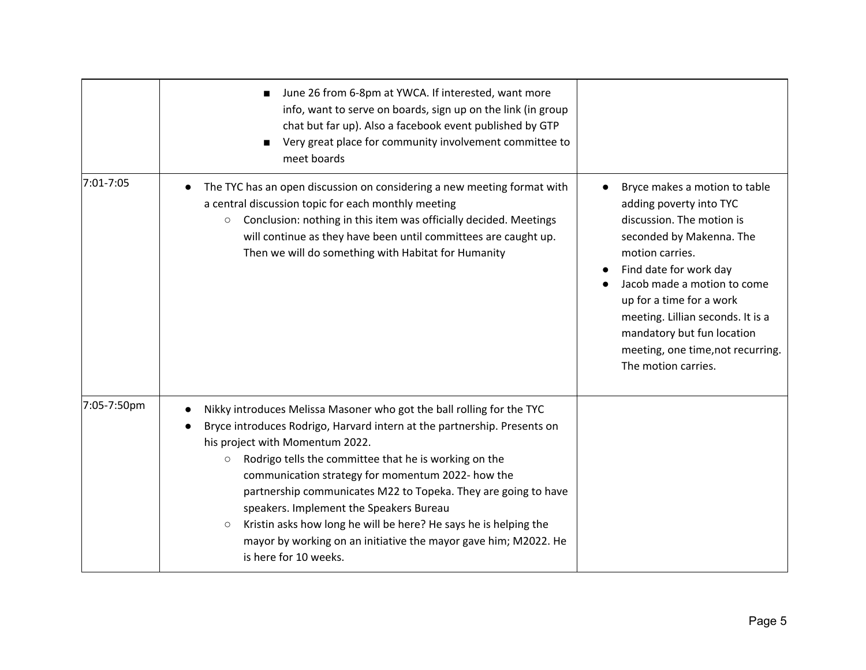|             | June 26 from 6-8pm at YWCA. If interested, want more<br>info, want to serve on boards, sign up on the link (in group<br>chat but far up). Also a facebook event published by GTP<br>Very great place for community involvement committee to<br>meet boards                                                                                                                                                                                                                                                                                                                                            |                                                                                                                                                                                                                                                                                                                                                                       |
|-------------|-------------------------------------------------------------------------------------------------------------------------------------------------------------------------------------------------------------------------------------------------------------------------------------------------------------------------------------------------------------------------------------------------------------------------------------------------------------------------------------------------------------------------------------------------------------------------------------------------------|-----------------------------------------------------------------------------------------------------------------------------------------------------------------------------------------------------------------------------------------------------------------------------------------------------------------------------------------------------------------------|
| 7:01-7:05   | The TYC has an open discussion on considering a new meeting format with<br>$\bullet$<br>a central discussion topic for each monthly meeting<br>Conclusion: nothing in this item was officially decided. Meetings<br>$\circ$<br>will continue as they have been until committees are caught up.<br>Then we will do something with Habitat for Humanity                                                                                                                                                                                                                                                 | Bryce makes a motion to table<br>$\bullet$<br>adding poverty into TYC<br>discussion. The motion is<br>seconded by Makenna. The<br>motion carries.<br>Find date for work day<br>Jacob made a motion to come<br>up for a time for a work<br>meeting. Lillian seconds. It is a<br>mandatory but fun location<br>meeting, one time, not recurring.<br>The motion carries. |
| 7:05-7:50pm | Nikky introduces Melissa Masoner who got the ball rolling for the TYC<br>Bryce introduces Rodrigo, Harvard intern at the partnership. Presents on<br>his project with Momentum 2022.<br>Rodrigo tells the committee that he is working on the<br>$\circ$<br>communication strategy for momentum 2022- how the<br>partnership communicates M22 to Topeka. They are going to have<br>speakers. Implement the Speakers Bureau<br>Kristin asks how long he will be here? He says he is helping the<br>$\circ$<br>mayor by working on an initiative the mayor gave him; M2022. He<br>is here for 10 weeks. |                                                                                                                                                                                                                                                                                                                                                                       |